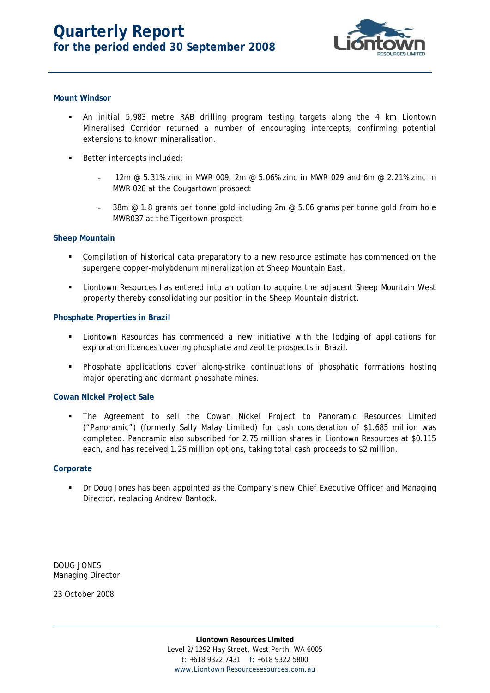

# **Mount Windsor**

- An initial 5,983 metre RAB drilling program testing targets along the 4 km Liontown Mineralised Corridor returned a number of encouraging intercepts, confirming potential extensions to known mineralisation.
- **Better intercepts included:** 
	- 12m  $\degree$  5.31% zinc in MWR 009, 2m  $\degree$  5.06% zinc in MWR 029 and 6m  $\degree$  2.21% zinc in MWR 028 at the Cougartown prospect
	- 38m  $\omega$  1.8 grams per tonne gold including 2m  $\omega$  5.06 grams per tonne gold from hole MWR037 at the Tigertown prospect

## **Sheep Mountain**

- Compilation of historical data preparatory to a new resource estimate has commenced on the supergene copper-molybdenum mineralization at Sheep Mountain East.
- **EXECT** Liontown Resources has entered into an option to acquire the adjacent Sheep Mountain West property thereby consolidating our position in the Sheep Mountain district.

## **Phosphate Properties in Brazil**

- Liontown Resources has commenced a new initiative with the lodging of applications for exploration licences covering phosphate and zeolite prospects in Brazil.
- Phosphate applications cover along-strike continuations of phosphatic formations hosting major operating and dormant phosphate mines.

# **Cowan Nickel Project Sale**

 The Agreement to sell the Cowan Nickel Project to Panoramic Resources Limited ("Panoramic") (formerly Sally Malay Limited) for cash consideration of \$1.685 million was completed. Panoramic also subscribed for 2.75 million shares in Liontown Resources at \$0.115 each, and has received 1.25 million options, taking total cash proceeds to \$2 million.

#### **Corporate**

 Dr Doug Jones has been appointed as the Company's new Chief Executive Officer and Managing Director, replacing Andrew Bantock.

DOUG JONES Managing Director

23 October 2008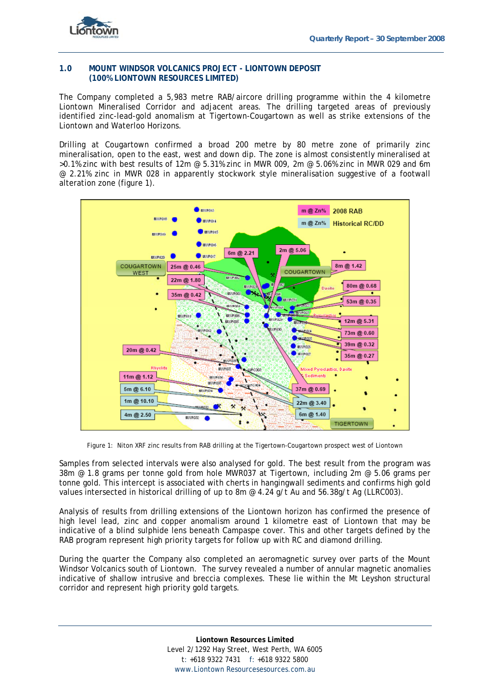

## **1.0 MOUNT WINDSOR VOLCANICS PROJECT - LIONTOWN DEPOSIT (100% LIONTOWN RESOURCES LIMITED)**

The Company completed a 5,983 metre RAB/aircore drilling programme within the 4 kilometre Liontown Mineralised Corridor and adjacent areas. The drilling targeted areas of previously identified zinc-lead-gold anomalism at Tigertown-Cougartown as well as strike extensions of the Liontown and Waterloo Horizons.

Drilling at Cougartown confirmed a broad 200 metre by 80 metre zone of primarily zinc mineralisation, open to the east, west and down dip. The zone is almost consistently mineralised at  $>0.1\%$  zinc with best results of 12m @ 5.31% zinc in MWR 009, 2m @ 5.06% zinc in MWR 029 and 6m @ 2.21% zinc in MWR 028 in apparently stockwork style mineralisation suggestive of a footwall alteration zone (figure 1).



Figure 1: Niton XRF zinc results from RAB drilling at the Tigertown-Cougartown prospect west of Liontown

Samples from selected intervals were also analysed for gold. The best result from the program was 38m @ 1.8 grams per tonne gold from hole MWR037 at Tigertown, including 2m @ 5.06 grams per tonne gold. This intercept is associated with cherts in hangingwall sediments and confirms high gold values intersected in historical drilling of up to 8m @ 4.24 g/t Au and 56.38g/t Ag (LLRC003).

Analysis of results from drilling extensions of the Liontown horizon has confirmed the presence of high level lead, zinc and copper anomalism around 1 kilometre east of Liontown that may be indicative of a blind sulphide lens beneath Campaspe cover. This and other targets defined by the RAB program represent high priority targets for follow up with RC and diamond drilling.

During the quarter the Company also completed an aeromagnetic survey over parts of the Mount Windsor Volcanics south of Liontown. The survey revealed a number of annular magnetic anomalies indicative of shallow intrusive and breccia complexes. These lie within the Mt Leyshon structural corridor and represent high priority gold targets.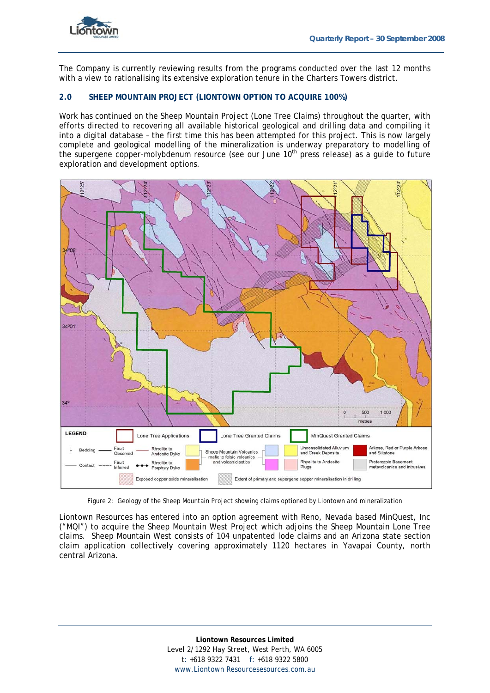

The Company is currently reviewing results from the programs conducted over the last 12 months with a view to rationalising its extensive exploration tenure in the Charters Towers district.

# **2.0 SHEEP MOUNTAIN PROJECT (LIONTOWN OPTION TO ACQUIRE 100%)**

Work has continued on the Sheep Mountain Project (Lone Tree Claims) throughout the quarter, with efforts directed to recovering all available historical geological and drilling data and compiling it into a digital database – the first time this has been attempted for this project. This is now largely complete and geological modelling of the mineralization is underway preparatory to modelling of the supergene copper-molybdenum resource (see our June 10<sup>th</sup> press release) as a quide to future exploration and development options.



Figure 2: Geology of the Sheep Mountain Project showing claims optioned by Liontown and mineralization

Liontown Resources has entered into an option agreement with Reno, Nevada based MinQuest, Inc ("MQI") to acquire the Sheep Mountain West Project which adjoins the Sheep Mountain Lone Tree claims. Sheep Mountain West consists of 104 unpatented lode claims and an Arizona state section claim application collectively covering approximately 1120 hectares in Yavapai County, north central Arizona.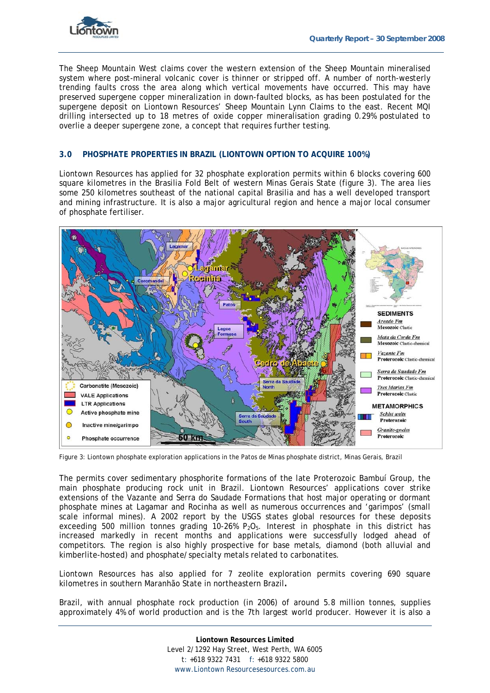

The Sheep Mountain West claims cover the western extension of the Sheep Mountain mineralised system where post-mineral volcanic cover is thinner or stripped off. A number of north-westerly trending faults cross the area along which vertical movements have occurred. This may have preserved supergene copper mineralization in down-faulted blocks, as has been postulated for the supergene deposit on Liontown Resources' Sheep Mountain Lynn Claims to the east. Recent MQI drilling intersected up to 18 metres of oxide copper mineralisation grading 0.29% postulated to overlie a deeper supergene zone, a concept that requires further testing.

## **3.0 PHOSPHATE PROPERTIES IN BRAZIL (LIONTOWN OPTION TO ACQUIRE 100%)**

Liontown Resources has applied for 32 phosphate exploration permits within 6 blocks covering 600 square kilometres in the Brasilia Fold Belt of western Minas Gerais State (figure 3). The area lies some 250 kilometres southeast of the national capital Brasilia and has a well developed transport and mining infrastructure. It is also a major agricultural region and hence a major local consumer of phosphate fertiliser.



Figure 3: Liontown phosphate exploration applications in the Patos de Minas phosphate district, Minas Gerais, Brazil

The permits cover sedimentary phosphorite formations of the late Proterozoic Bambuí Group, the main phosphate producing rock unit in Brazil. Liontown Resources' applications cover strike extensions of the Vazante and Serra do Saudade Formations that host major operating or dormant phosphate mines at Lagamar and Rocinha as well as numerous occurrences and 'garimpos' (small scale informal mines). A 2002 report by the USGS states global resources for these deposits exceeding 500 million tonnes grading 10-26%  $P_2O_5$ . Interest in phosphate in this district has increased markedly in recent months and applications were successfully lodged ahead of competitors. The region is also highly prospective for base metals, diamond (both alluvial and kimberlite-hosted) and phosphate/specialty metals related to carbonatites.

Liontown Resources has also applied for 7 zeolite exploration permits covering 690 square kilometres in southern Maranhão State in northeastern Brazil**.** 

Brazil, with annual phosphate rock production (in 2006) of around 5.8 million tonnes, supplies approximately 4% of world production and is the 7th largest world producer. However it is also a